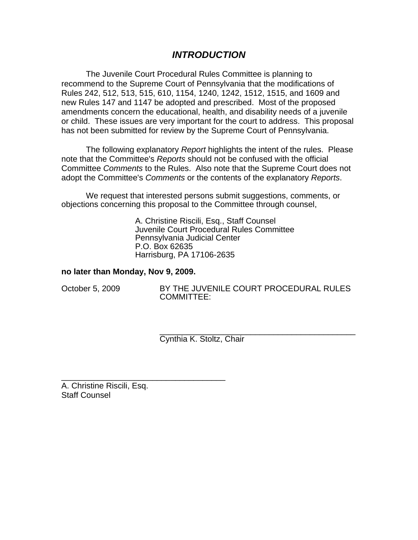# *INTRODUCTION*

The Juvenile Court Procedural Rules Committee is planning to recommend to the Supreme Court of Pennsylvania that the modifications of Rules 242, 512, 513, 515, 610, 1154, 1240, 1242, 1512, 1515, and 1609 and new Rules 147 and 1147 be adopted and prescribed. Most of the proposed amendments concern the educational, health, and disability needs of a juvenile or child. These issues are very important for the court to address. This proposal has not been submitted for review by the Supreme Court of Pennsylvania.

The following explanatory *Report* highlights the intent of the rules. Please note that the Committee's *Reports* should not be confused with the official Committee *Comments* to the Rules. Also note that the Supreme Court does not adopt the Committee's *Comments* or the contents of the explanatory *Reports*.

We request that interested persons submit suggestions, comments, or objections concerning this proposal to the Committee through counsel,

> A. Christine Riscili, Esq., Staff Counsel Juvenile Court Procedural Rules Committee Pennsylvania Judicial Center P.O. Box 62635 Harrisburg, PA 17106-2635

#### **no later than Monday, Nov 9, 2009.**

\_\_\_\_\_\_\_\_\_\_\_\_\_\_\_\_\_\_\_\_\_\_\_\_\_\_\_\_\_\_\_\_\_\_\_\_

October 5, 2009 BY THE JUVENILE COURT PROCEDURAL RULES COMMITTEE:

> \_\_\_\_\_\_\_\_\_\_\_\_\_\_\_\_\_\_\_\_\_\_\_\_\_\_\_\_\_\_\_\_\_\_\_\_\_\_\_\_\_\_\_ Cynthia K. Stoltz, Chair

A. Christine Riscili, Esq. Staff Counsel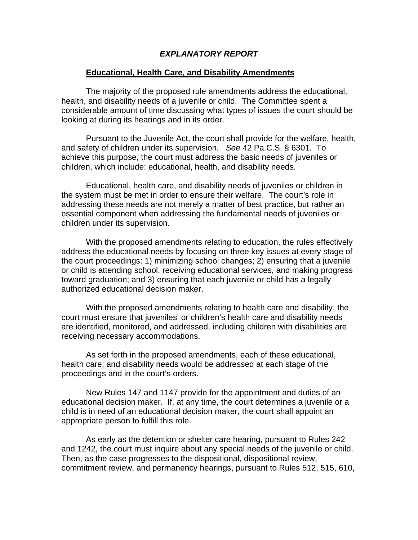#### *EXPLANATORY REPORT*

#### **Educational, Health Care, and Disability Amendments**

The majority of the proposed rule amendments address the educational, health, and disability needs of a juvenile or child. The Committee spent a considerable amount of time discussing what types of issues the court should be looking at during its hearings and in its order.

Pursuant to the Juvenile Act, the court shall provide for the welfare, health, and safety of children under its supervision. *See* 42 Pa.C.S. § 6301. To achieve this purpose, the court must address the basic needs of juveniles or children, which include: educational, health, and disability needs.

Educational, health care, and disability needs of juveniles or children in the system must be met in order to ensure their welfare. The court's role in addressing these needs are not merely a matter of best practice, but rather an essential component when addressing the fundamental needs of juveniles or children under its supervision.

With the proposed amendments relating to education, the rules effectively address the educational needs by focusing on three key issues at every stage of the court proceedings: 1) minimizing school changes; 2) ensuring that a juvenile or child is attending school, receiving educational services, and making progress toward graduation; and 3) ensuring that each juvenile or child has a legally authorized educational decision maker.

With the proposed amendments relating to health care and disability, the court must ensure that juveniles' or children's health care and disability needs are identified, monitored, and addressed, including children with disabilities are receiving necessary accommodations.

As set forth in the proposed amendments, each of these educational, health care, and disability needs would be addressed at each stage of the proceedings and in the court's orders.

New Rules 147 and 1147 provide for the appointment and duties of an educational decision maker. If, at any time, the court determines a juvenile or a child is in need of an educational decision maker, the court shall appoint an appropriate person to fulfill this role.

As early as the detention or shelter care hearing, pursuant to Rules 242 and 1242, the court must inquire about any special needs of the juvenile or child. Then, as the case progresses to the dispositional, dispositional review, commitment review, and permanency hearings, pursuant to Rules 512, 515, 610,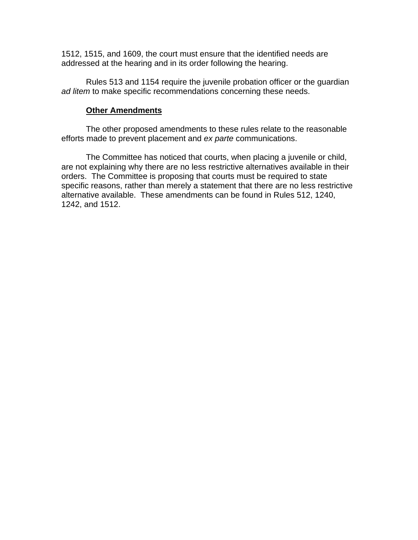1512, 1515, and 1609, the court must ensure that the identified needs are addressed at the hearing and in its order following the hearing.

Rules 513 and 1154 require the juvenile probation officer or the guardian *ad litem* to make specific recommendations concerning these needs.

### **Other Amendments**

The other proposed amendments to these rules relate to the reasonable efforts made to prevent placement and *ex parte* communications.

The Committee has noticed that courts, when placing a juvenile or child, are not explaining why there are no less restrictive alternatives available in their orders. The Committee is proposing that courts must be required to state specific reasons, rather than merely a statement that there are no less restrictive alternative available. These amendments can be found in Rules 512, 1240, 1242, and 1512.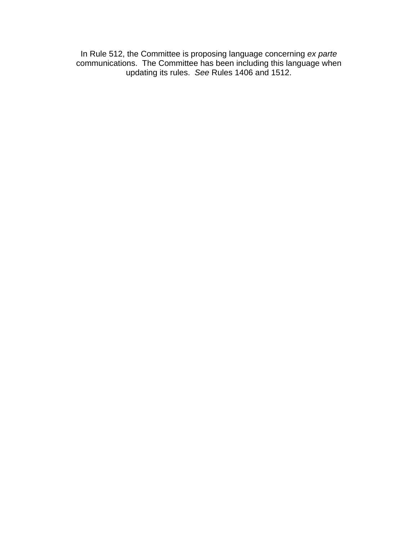In Rule 512, the Committee is proposing language concerning *ex parte*  communications. The Committee has been including this language when updating its rules. *See* Rules 1406 and 1512.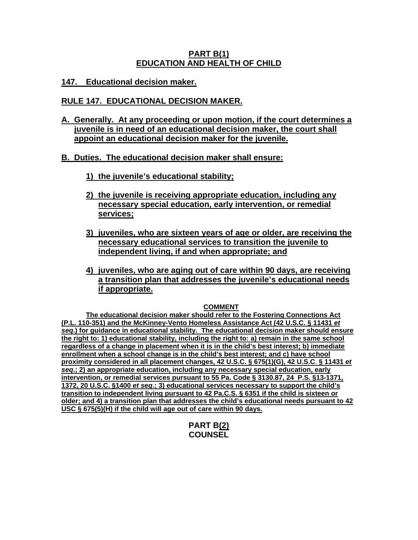## **PART B(1) EDUCATION AND HEALTH OF CHILD**

**147. Educational decision maker.**

# **RULE 147. EDUCATIONAL DECISION MAKER.**

**A. Generally. At any proceeding or upon motion, if the court determines a juvenile is in need of an educational decision maker, the court shall appoint an educational decision maker for the juvenile.**

## **B. Duties. The educational decision maker shall ensure:**

- **1) the juvenile's educational stability;**
- **2) the juvenile is receiving appropriate education, including any necessary special education, early intervention, or remedial services;**
- **3) juveniles, who are sixteen years of age or older, are receiving the necessary educational services to transition the juvenile to independent living, if and when appropriate; and**
- **4) juveniles, who are aging out of care within 90 days, are receiving a transition plan that addresses the juvenile's educational needs if appropriate.**

#### **COMMENT**

**The educational decision maker should refer to the Fostering Connections Act (P.L. 110-351) and the McKinney-Vento Homeless Assistance Act (42 U.S.C. § 11431** *et seq***.) for guidance in educational stability. The educational decision maker should ensure the right to: 1) educational stability, including the right to: a) remain in the same school regardless of a change in placement when it is in the child's best interest; b) immediate enrollment when a school change is in the child's best interest; and c) have school proximity considered in all placement changes, 42 U.S.C. § 675(1)(G), 42 U.S.C**. **§ 11431** *et seq***.; 2) an appropriate education, including any necessary special education, early intervention, or remedial services pursuant to 55 Pa. Code § 3130.87, 24 P.S. §13-1371, 1372, 20 U.S.C. §1400** *et seq***.; 3) educational services necessary to support the child's transition to independent living pursuant to 42 Pa.C.S. § 6351 if the child is sixteen or older; and 4) a transition plan that addresses the child's educational needs pursuant to 42 USC § 675(5)(H) if the child will age out of care within 90 days.** 

## **PART B(2) COUNSEL**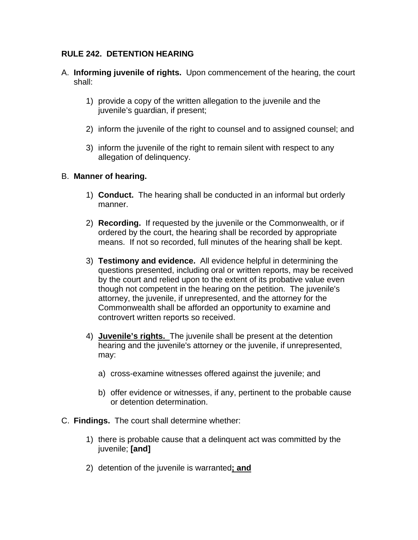# **RULE 242. DETENTION HEARING**

- A. **Informing juvenile of rights.** Upon commencement of the hearing, the court shall:
	- 1) provide a copy of the written allegation to the juvenile and the juvenile's guardian, if present;
	- 2) inform the juvenile of the right to counsel and to assigned counsel; and
	- 3) inform the juvenile of the right to remain silent with respect to any allegation of delinquency.

### B. **Manner of hearing.**

- 1) **Conduct.** The hearing shall be conducted in an informal but orderly manner.
- 2) **Recording.** If requested by the juvenile or the Commonwealth, or if ordered by the court, the hearing shall be recorded by appropriate means. If not so recorded, full minutes of the hearing shall be kept.
- 3) **Testimony and evidence.** All evidence helpful in determining the questions presented, including oral or written reports, may be received by the court and relied upon to the extent of its probative value even though not competent in the hearing on the petition. The juvenile's attorney, the juvenile, if unrepresented, and the attorney for the Commonwealth shall be afforded an opportunity to examine and controvert written reports so received.
- 4) **Juvenile's rights.** The juvenile shall be present at the detention hearing and the juvenile's attorney or the juvenile, if unrepresented, may:
	- a) cross-examine witnesses offered against the juvenile; and
	- b) offer evidence or witnesses, if any, pertinent to the probable cause or detention determination.
- C. **Findings.** The court shall determine whether:
	- 1) there is probable cause that a delinquent act was committed by the juvenile; **[and]**
	- 2) detention of the juvenile is warranted**; and**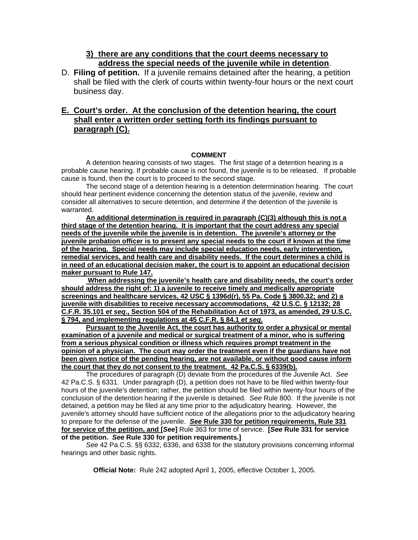#### **3) there are any conditions that the court deems necessary to address the special needs of the juvenile while in detention**.

D. **Filing of petition.** If a juvenile remains detained after the hearing, a petition shall be filed with the clerk of courts within twenty-four hours or the next court business day.

## **E. Court's order. At the conclusion of the detention hearing, the court shall enter a written order setting forth its findings pursuant to paragraph (C).**

#### **COMMENT**

A detention hearing consists of two stages. The first stage of a detention hearing is a probable cause hearing. If probable cause is not found, the juvenile is to be released. If probable cause is found, then the court is to proceed to the second stage.

The second stage of a detention hearing is a detention determination hearing. The court should hear pertinent evidence concerning the detention status of the juvenile, review and consider all alternatives to secure detention, and determine if the detention of the juvenile is warranted.

**An additional determination is required in paragraph (C)(3) although this is not a third stage of the detention hearing. It is important that the court address any special needs of the juvenile while the juvenile is in detention. The juvenile's attorney or the juvenile probation officer is to present any special needs to the court if known at the time of the hearing. Special needs may include special education needs, early intervention, remedial services, and health care and disability needs. If the court determines a child is in need of an educational decision maker, the court is to appoint an educational decision maker pursuant to Rule 147.**

 **When addressing the juvenile's health care and disability needs, the court's order should address the right of: 1) a juvenile to receive timely and medically appropriate screenings and healthcare services, 42 USC § 1396d(r), 55 Pa. Code § 3800.32; and 2) a juvenile with disabilities to receive necessary accommodations, 42 U.S.C. § 12132; 28 C.F.R. 35.101** *et seq***., Section 504 of the Rehabilitation Act of 1973, as amended, 29 U.S.C. § 794, and implementing regulations at 45 C.F.R. § 84.1** *et seq.*

**Pursuant to the Juvenile Act, the court has authority to order a physical or mental examination of a juvenile and medical or surgical treatment of a minor, who is suffering from a serious physical condition or illness which requires prompt treatment in the opinion of a physician. The court may order the treatment even if the guardians have not been given notice of the pending hearing, are not available, or without good cause inform the court that they do not consent to the treatment. 42 Pa.C.S. § 6339(b).**

The procedures of paragraph (D) deviate from the procedures of the Juvenile Act. *See* 42 Pa.C.S. § 6331. Under paragraph (D), a petition does not have to be filed within twenty-four hours of the juvenile's detention; rather, the petition should be filed within twenty-four hours of the conclusion of the detention hearing if the juvenile is detained. *See* Rule 800. If the juvenile is not detained, a petition may be filed at any time prior to the adjudicatory hearing. However, the juvenile's attorney should have sufficient notice of the allegations prior to the adjudicatory hearing to prepare for the defense of the juvenile. *See* **Rule 330 for petition requirements, Rule 331 for service of the petition, and [***See***]** Rule 363 for time of service. **[***See* **Rule 331 for service of the petition.** *See* **Rule 330 for petition requirements.]** 

*See* 42 Pa.C.S. §§ 6332, 6336, and 6338 for the statutory provisions concerning informal hearings and other basic rights.

**Official Note:** Rule 242 adopted April 1, 2005, effective October 1, 2005.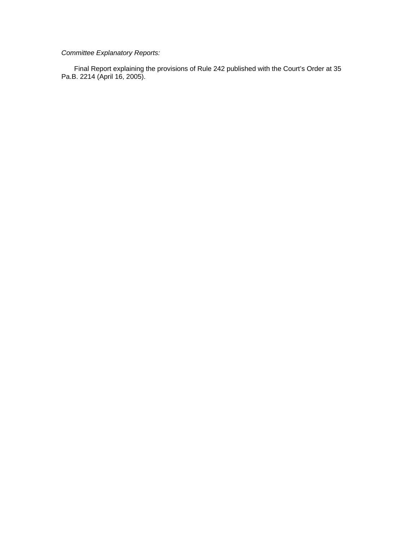#### *Committee Explanatory Reports:*

Final Report explaining the provisions of Rule 242 published with the Court's Order at 35 Pa.B. 2214 (April 16, 2005).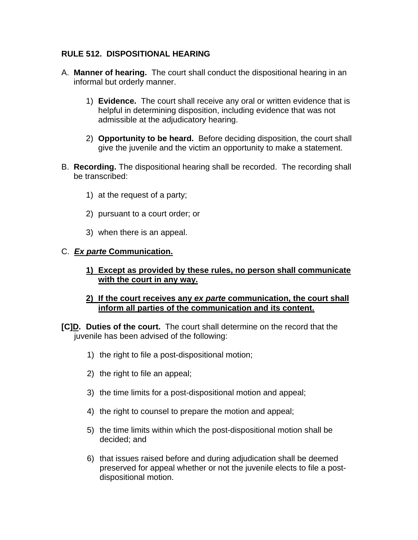# **RULE 512. DISPOSITIONAL HEARING**

- A. **Manner of hearing.** The court shall conduct the dispositional hearing in an informal but orderly manner.
	- 1) **Evidence.** The court shall receive any oral or written evidence that is helpful in determining disposition, including evidence that was not admissible at the adjudicatory hearing.
	- 2) **Opportunity to be heard.** Before deciding disposition, the court shall give the juvenile and the victim an opportunity to make a statement.
- B. **Recording.** The dispositional hearing shall be recorded. The recording shall be transcribed:
	- 1) at the request of a party;
	- 2) pursuant to a court order; or
	- 3) when there is an appeal.

## C. *Ex parte* **Communication.**

- **1) Except as provided by these rules, no person shall communicate with the court in any way.**
- **2) If the court receives any** *ex parte* **communication, the court shall inform all parties of the communication and its content.**
- **[C]D. Duties of the court.** The court shall determine on the record that the juvenile has been advised of the following:
	- 1) the right to file a post-dispositional motion;
	- 2) the right to file an appeal;
	- 3) the time limits for a post-dispositional motion and appeal;
	- 4) the right to counsel to prepare the motion and appeal;
	- 5) the time limits within which the post-dispositional motion shall be decided; and
	- 6) that issues raised before and during adjudication shall be deemed preserved for appeal whether or not the juvenile elects to file a postdispositional motion.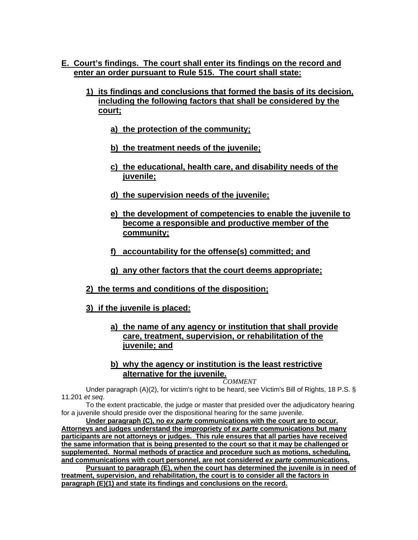- **E. Court's findings. The court shall enter its findings on the record and enter an order pursuant to Rule 515. The court shall state:**
	- **1) its findings and conclusions that formed the basis of its decision, including the following factors that shall be considered by the court;**
		- **a) the protection of the community;**
		- **b) the treatment needs of the juvenile;**
		- **c) the educational, health care, and disability needs of the juvenile;**
		- **d) the supervision needs of the juvenile;**
		- **e) the development of competencies to enable the juvenile to become a responsible and productive member of the community;**
		- **f) accountability for the offense(s) committed; and**
		- **g) any other factors that the court deems appropriate;**
	- **2) the terms and conditions of the disposition;**
	- **3) if the juvenile is placed:**
		- **a) the name of any agency or institution that shall provide care, treatment, supervision, or rehabilitation of the juvenile; and**
		- **b) why the agency or institution is the least restrictive alternative for the juvenile.**

*COMMENT* 

Under paragraph (A)(2), for victim's right to be heard, see Victim's Bill of Rights, 18 P.S. § 11.201 *et seq*.

To the extent practicable, the judge or master that presided over the adjudicatory hearing for a juvenile should preside over the dispositional hearing for the same juvenile.

**Under paragraph (C), no** *ex parte* **communications with the court are to occur. Attorneys and judges understand the impropriety of** *ex parte* **communications but many participants are not attorneys or judges. This rule ensures that all parties have received the same information that is being presented to the court so that it may be challenged or supplemented. Normal methods of practice and procedure such as motions, scheduling, and communications with court personnel, are not considered** *ex parte* **communications.** 

**Pursuant to paragraph (E), when the court has determined the juvenile is in need of treatment, supervision, and rehabilitation, the court is to consider all the factors in paragraph (E)(1) and state its findings and conclusions on the record.**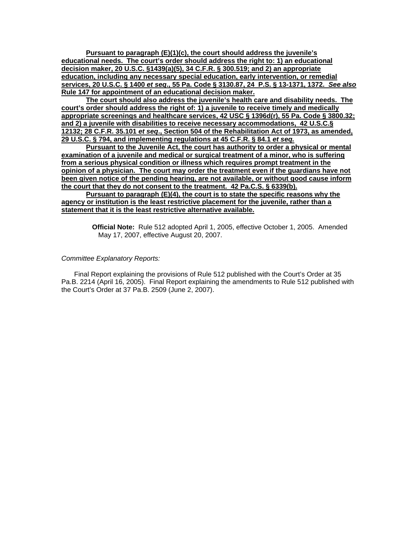**Pursuant to paragraph (E)(1)(c), the court should address the juvenile's educational needs. The court's order should address the right to: 1) an educational decision maker, 20 U.S.C. §1439(a)(5), 34 C.F.R. § 300.519; and 2) an appropriate education, including any necessary special education, early intervention, or remedial services, 20 U.S.C. § 1400** *et seq***., 55 Pa. Code § 3130.87, 24 P.S. § 13-1371, 1372.** *See also* **Rule 147 for appointment of an educational decision maker.**

**The court should also address the juvenile's health care and disability needs. The court's order should address the right of: 1) a juvenile to receive timely and medically appropriate screenings and healthcare services, 42 USC § 1396d(r), 55 Pa. Code § 3800.32; and 2) a juvenile with disabilities to receive necessary accommodations, 42 U.S.C.§ 12132; 28 C.F.R. 35.101** *et seq***., Section 504 of the Rehabilitation Act of 1973, as amended, 29 U.S.C. § 794, and implementing regulations at 45 C.F.R. § 84.1** *et seq.*

**Pursuant to the Juvenile Act, the court has authority to order a physical or mental examination of a juvenile and medical or surgical treatment of a minor, who is suffering from a serious physical condition or illness which requires prompt treatment in the opinion of a physician. The court may order the treatment even if the guardians have not been given notice of the pending hearing, are not available, or without good cause inform the court that they do not consent to the treatment. 42 Pa.C.S. § 6339(b).**

**Pursuant to paragraph (E)(4), the court is to state the specific reasons why the agency or institution is the least restrictive placement for the juvenile, rather than a statement that it is the least restrictive alternative available.** 

> **Official Note:** Rule 512 adopted April 1, 2005, effective October 1, 2005. Amended May 17, 2007, effective August 20, 2007.

#### *Committee Explanatory Reports:*

Final Report explaining the provisions of Rule 512 published with the Court's Order at 35 Pa.B. 2214 (April 16, 2005). Final Report explaining the amendments to Rule 512 published with the Court's Order at 37 Pa.B. 2509 (June 2, 2007).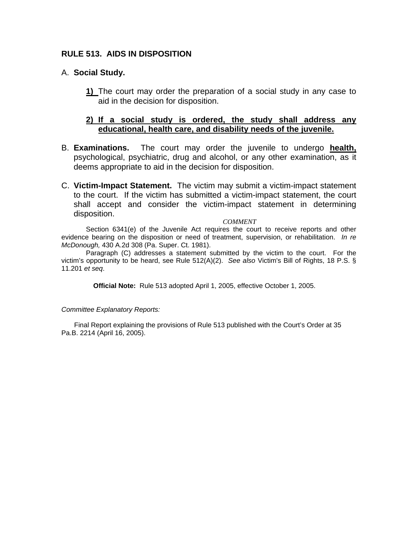## **RULE 513. AIDS IN DISPOSITION**

### A. **Social Study.**

**1)** The court may order the preparation of a social study in any case to aid in the decision for disposition.

## **2) If a social study is ordered, the study shall address any educational, health care, and disability needs of the juvenile.**

- B. **Examinations.** The court may order the juvenile to undergo **health,**  psychological, psychiatric, drug and alcohol, or any other examination, as it deems appropriate to aid in the decision for disposition.
- C. **Victim-Impact Statement.** The victim may submit a victim-impact statement to the court. If the victim has submitted a victim-impact statement, the court shall accept and consider the victim-impact statement in determining disposition.

#### *COMMENT*

Section 6341(e) of the Juvenile Act requires the court to receive reports and other evidence bearing on the disposition or need of treatment, supervision, or rehabilitation. *In re McDonough,* 430 A.2d 308 (Pa. Super. Ct. 1981).

Paragraph (C) addresses a statement submitted by the victim to the court. For the victim's opportunity to be heard, see Rule 512(A)(2). *See also* Victim's Bill of Rights, 18 P.S. § 11.201 *et seq*.

**Official Note:** Rule 513 adopted April 1, 2005, effective October 1, 2005.

#### *Committee Explanatory Reports:*

Final Report explaining the provisions of Rule 513 published with the Court's Order at 35 Pa.B. 2214 (April 16, 2005).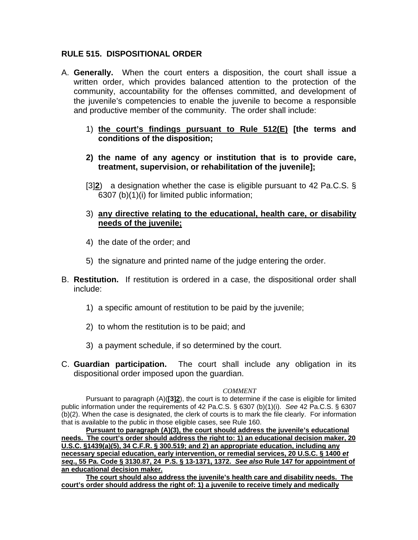## **RULE 515. DISPOSITIONAL ORDER**

- A. **Generally.** When the court enters a disposition, the court shall issue a written order, which provides balanced attention to the protection of the community, accountability for the offenses committed, and development of the juvenile's competencies to enable the juvenile to become a responsible and productive member of the community. The order shall include:
	- 1) **the court's findings pursuant to Rule 512(E) [the terms and conditions of the disposition;**
	- **2) the name of any agency or institution that is to provide care, treatment, supervision, or rehabilitation of the juvenile];**
	- [3]**2**) a designation whether the case is eligible pursuant to 42 Pa.C.S. § 6307 (b)(1)(i) for limited public information;
	- 3) **any directive relating to the educational, health care, or disability needs of the juvenile;**
	- 4) the date of the order; and
	- 5) the signature and printed name of the judge entering the order.
- B. **Restitution.** If restitution is ordered in a case, the dispositional order shall include:
	- 1) a specific amount of restitution to be paid by the juvenile;
	- 2) to whom the restitution is to be paid; and
	- 3) a payment schedule, if so determined by the court.
- C. **Guardian participation.** The court shall include any obligation in its dispositional order imposed upon the guardian.

#### *COMMENT*

Pursuant to paragraph (A)(**[3]2**), the court is to determine if the case is eligible for limited public information under the requirements of 42 Pa.C.S. § 6307 (b)(1)(i). *See* 42 Pa.C.S. § 6307 (b)(2). When the case is designated, the clerk of courts is to mark the file clearly. For information that is available to the public in those eligible cases, see Rule 160.

**Pursuant to paragraph (A)(3), the court should address the juvenile's educational needs. The court's order should address the right to: 1) an educational decision maker, 20 U.S.C. §1439(a)(5), 34 C.F.R. § 300.519; and 2) an appropriate education, including any necessary special education, early intervention, or remedial services, 20 U.S.C. § 1400** *et seq***., 55 Pa. Code § 3130.87, 24 P.S. § 13-1371, 1372.** *See also* **Rule 147 for appointment of an educational decision maker.**

**The court should also address the juvenile's health care and disability needs. The court's order should address the right of: 1) a juvenile to receive timely and medically**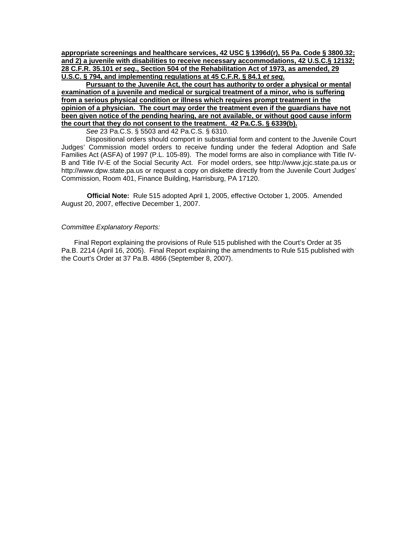**appropriate screenings and healthcare services, 42 USC § 1396d(r), 55 Pa. Code § 3800.32; and 2) a juvenile with disabilities to receive necessary accommodations, 42 U.S.C.§ 12132; 28 C.F.R. 35.101** *et seq***., Section 504 of the Rehabilitation Act of 1973, as amended, 29 U.S.C. § 794, and implementing regulations at 45 C.F.R. § 84.1** *et seq.*

**Pursuant to the Juvenile Act, the court has authority to order a physical or mental examination of a juvenile and medical or surgical treatment of a minor, who is suffering from a serious physical condition or illness which requires prompt treatment in the opinion of a physician. The court may order the treatment even if the guardians have not been given notice of the pending hearing, are not available, or without good cause inform the court that they do not consent to the treatment. 42 Pa.C.S. § 6339(b).**

*See* 23 Pa.C.S. § 5503 and 42 Pa.C.S. § 6310.

Dispositional orders should comport in substantial form and content to the Juvenile Court Judges' Commission model orders to receive funding under the federal Adoption and Safe Families Act (ASFA) of 1997 (P.L. 105-89). The model forms are also in compliance with Title IV-B and Title IV-E of the Social Security Act. For model orders, see http://www.jcjc.state.pa.us or http://www.dpw.state.pa.us or request a copy on diskette directly from the Juvenile Court Judges' Commission, Room 401, Finance Building, Harrisburg, PA 17120.

**Official Note:** Rule 515 adopted April 1, 2005, effective October 1, 2005. Amended August 20, 2007, effective December 1, 2007.

#### *Committee Explanatory Reports:*

Final Report explaining the provisions of Rule 515 published with the Court's Order at 35 Pa.B. 2214 (April 16, 2005). Final Report explaining the amendments to Rule 515 published with the Court's Order at 37 Pa.B. 4866 (September 8, 2007).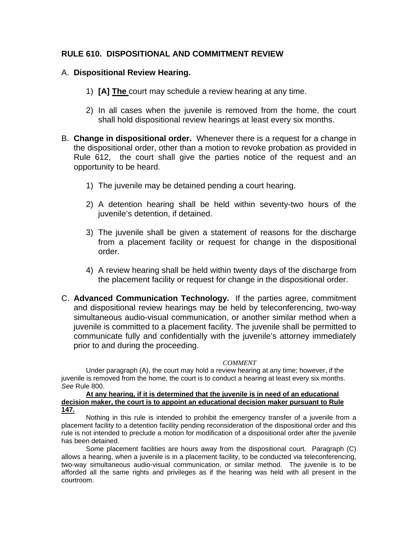### **RULE 610. DISPOSITIONAL AND COMMITMENT REVIEW**

### A. **Dispositional Review Hearing.**

- 1) **[A] The** court may schedule a review hearing at any time.
- 2) In all cases when the juvenile is removed from the home, the court shall hold dispositional review hearings at least every six months.
- B. **Change in dispositional order.** Whenever there is a request for a change in the dispositional order, other than a motion to revoke probation as provided in Rule 612, the court shall give the parties notice of the request and an opportunity to be heard.
	- 1) The juvenile may be detained pending a court hearing.
	- 2) A detention hearing shall be held within seventy-two hours of the juvenile's detention, if detained.
	- 3) The juvenile shall be given a statement of reasons for the discharge from a placement facility or request for change in the dispositional order.
	- 4) A review hearing shall be held within twenty days of the discharge from the placement facility or request for change in the dispositional order.
- C. **Advanced Communication Technology.** If the parties agree, commitment and dispositional review hearings may be held by teleconferencing, two-way simultaneous audio-visual communication, or another similar method when a juvenile is committed to a placement facility. The juvenile shall be permitted to communicate fully and confidentially with the juvenile's attorney immediately prior to and during the proceeding.

#### *COMMENT*

Under paragraph (A), the court may hold a review hearing at any time; however, if the juvenile is removed from the home, the court is to conduct a hearing at least every six months. *See* Rule 800.

#### **At any hearing, if it is determined that the juvenile is in need of an educational decision maker, the court is to appoint an educational decision maker pursuant to Rule 147.**

Nothing in this rule is intended to prohibit the emergency transfer of a juvenile from a placement facility to a detention facility pending reconsideration of the dispositional order and this rule is not intended to preclude a motion for modification of a dispositional order after the juvenile has been detained.

Some placement facilities are hours away from the dispositional court. Paragraph (C) allows a hearing, when a juvenile is in a placement facility, to be conducted via teleconferencing, two-way simultaneous audio-visual communication, or similar method. The juvenile is to be afforded all the same rights and privileges as if the hearing was held with all present in the courtroom.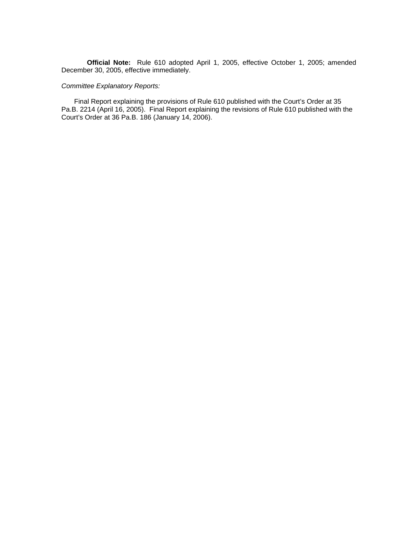**Official Note:** Rule 610 adopted April 1, 2005, effective October 1, 2005; amended December 30, 2005, effective immediately.

#### *Committee Explanatory Reports:*

Final Report explaining the provisions of Rule 610 published with the Court's Order at 35 Pa.B. 2214 (April 16, 2005). Final Report explaining the revisions of Rule 610 published with the Court's Order at 36 Pa.B. 186 (January 14, 2006).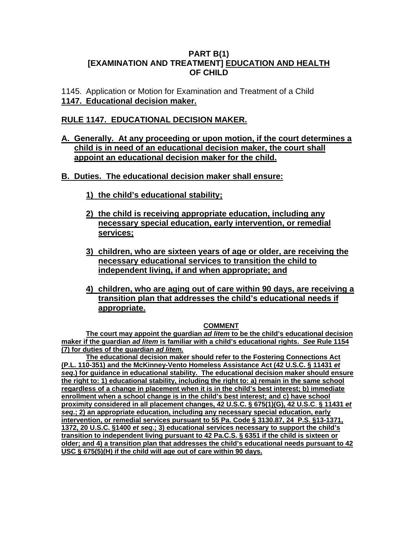### **PART B(1) [EXAMINATION AND TREATMENT] EDUCATION AND HEALTH OF CHILD**

1145. Application or Motion for Examination and Treatment of a Child **1147. Educational decision maker.**

## **RULE 1147. EDUCATIONAL DECISION MAKER.**

## **A. Generally. At any proceeding or upon motion, if the court determines a child is in need of an educational decision maker, the court shall appoint an educational decision maker for the child.**

## **B. Duties. The educational decision maker shall ensure:**

- **1) the child's educational stability;**
- **2) the child is receiving appropriate education, including any necessary special education, early intervention, or remedial services;**
- **3) children, who are sixteen years of age or older, are receiving the necessary educational services to transition the child to independent living, if and when appropriate; and**
- **4) children, who are aging out of care within 90 days, are receiving a transition plan that addresses the child's educational needs if appropriate.**

#### **COMMENT**

**The court may appoint the guardian** *ad litem* **to be the child's educational decision maker if the guardian** *ad litem* **is familiar with a child's educational rights.** *See* **Rule 1154 (7) for duties of the guardian** *ad litem.* 

**The educational decision maker should refer to the Fostering Connections Act (P.L. 110-351) and the McKinney-Vento Homeless Assistance Act (42 U.S.C. § 11431** *et seq***.) for guidance in educational stability. The educational decision maker should ensure the right to: 1) educational stability, including the right to: a) remain in the same school regardless of a change in placement when it is in the child's best interest; b) immediate enrollment when a school change is in the child's best interest; and c) have school proximity considered in all placement changes, 42 U.S.C. § 675(1)(G), 42 U.S.C**. **§ 11431** *et seq***.; 2) an appropriate education, including any necessary special education, early intervention, or remedial services pursuant to 55 Pa. Code § 3130.87, 24 P.S. §13-1371, 1372, 20 U.S.C. §1400** *et seq***.; 3) educational services necessary to support the child's transition to independent living pursuant to 42 Pa.C.S. § 6351 if the child is sixteen or older; and 4) a transition plan that addresses the child's educational needs pursuant to 42 USC § 675(5)(H) if the child will age out of care within 90 days.**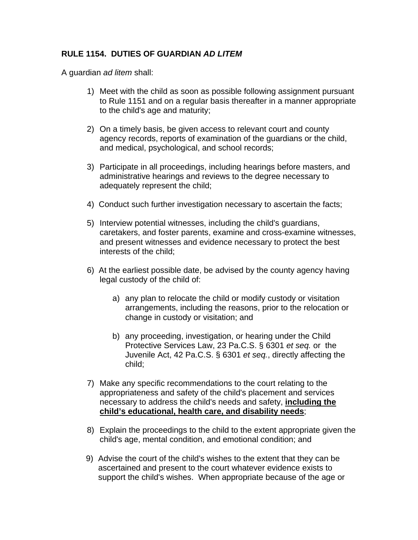# **RULE 1154. DUTIES OF GUARDIAN** *AD LITEM*

A guardian *ad litem* shall:

- 1) Meet with the child as soon as possible following assignment pursuant to Rule 1151 and on a regular basis thereafter in a manner appropriate to the child's age and maturity;
- 2) On a timely basis, be given access to relevant court and county agency records, reports of examination of the guardians or the child, and medical, psychological, and school records;
- 3) Participate in all proceedings, including hearings before masters, and administrative hearings and reviews to the degree necessary to adequately represent the child;
- 4) Conduct such further investigation necessary to ascertain the facts;
- 5) Interview potential witnesses, including the child's guardians, caretakers, and foster parents, examine and cross-examine witnesses, and present witnesses and evidence necessary to protect the best interests of the child;
- 6) At the earliest possible date, be advised by the county agency having legal custody of the child of:
	- a) any plan to relocate the child or modify custody or visitation arrangements, including the reasons, prior to the relocation or change in custody or visitation; and
	- b) any proceeding, investigation, or hearing under the Child Protective Services Law, 23 Pa.C.S. § 6301 *et seq.* or the Juvenile Act, 42 Pa.C.S. § 6301 *et seq.*, directly affecting the child;
- 7) Make any specific recommendations to the court relating to the appropriateness and safety of the child's placement and services necessary to address the child's needs and safety, **including the child's educational, health care, and disability needs**;
- 8) Explain the proceedings to the child to the extent appropriate given the child's age, mental condition, and emotional condition; and
- 9) Advise the court of the child's wishes to the extent that they can be ascertained and present to the court whatever evidence exists to support the child's wishes. When appropriate because of the age or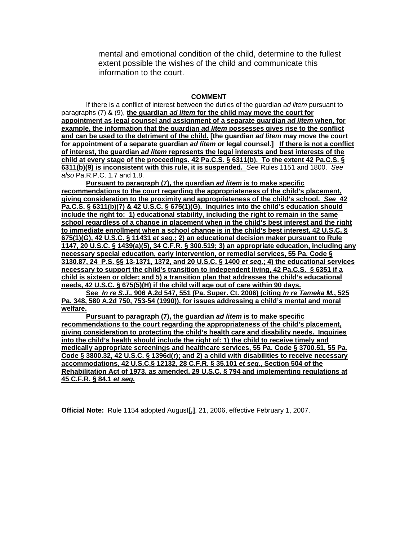mental and emotional condition of the child, determine to the fullest extent possible the wishes of the child and communicate this information to the court.

#### **COMMENT**

If there is a conflict of interest between the duties of the guardian *ad litem* pursuant to paragraphs (7) & (9), **the guardian** *ad litem* **for the child may move the court for appointment as legal counsel and assignment of a separate guardian** *ad litem* **when, for example, the information that the guardian** *ad litem* **possesses gives rise to the conflict and can be used to the detriment of the child. [the guardian** *ad litem* **may move the court for appointment of a separate guardian** *ad litem o***r legal counsel.] If there is not a conflict of interest, the guardian** *ad litem* **represents the legal interests and best interests of the child at every stage of the proceedings. 42 Pa.C.S. § 6311(b). To the extent 42 Pa.C.S. § 6311(b)(9) is inconsistent with this rule, it is suspended.** *See* Rules 1151 and 1800. *See also* Pa.R.P.C. 1.7 and 1.8.

**Pursuant to paragraph (7), the guardian** *ad litem* **is to make specific recommendations to the court regarding the appropriateness of the child's placement, giving consideration to the proximity and appropriateness of the child's school.** *See* **42 Pa.C.S. § 6311(b)(7) & 42 U.S.C. § 675(1)(G). Inquiries into the child's education should include the right to: 1) educational stability, including the right to remain in the same school regardless of a change in placement when in the child's best interest and the right to immediate enrollment when a school change is in the child's best interest, 42 U.S.C. § 675(1)(G), 42 U.S.C. § 11431** *et seq***.; 2) an educational decision maker pursuant to Rule 1147, 20 U.S.C. § 1439(a)(5), 34 C.F.R. § 300.519; 3) an appropriate education, including any necessary special education, early intervention, or remedial services, 55 Pa. Code § 3130.87, 24 P.S. §§ 13-1371, 1372, and 20 U.S.C. § 1400** *et seq***.; 4) the educational services necessary to support the child's transition to independent living, 42 Pa.C.S. § 6351 if a child is sixteen or older; and 5) a transition plan that addresses the child's educational needs, 42 U.S.C. § 675(5)(H) if the child will age out of care within 90 days.** 

**See** *In re S.J.,* **906 A.2d 547, 551 (Pa. Super. Ct. 2006) (citing** *In re Tameka M.***, 525 Pa. 348, 580 A.2d 750, 753-54 (1990)), for issues addressing a child's mental and moral welfare.**

**Pursuant to paragraph (7), the guardian** *ad litem* **is to make specific recommendations to the court regarding the appropriateness of the child's placement, giving consideration to protecting the child's health care and disability needs. Inquiries into the child's health should include the right of: 1) the child to receive timely and medically appropriate screenings and healthcare services, 55 Pa. Code § 3700.51, 55 Pa. Code § 3800.32, 42 U.S.C. § 1396d(r); and 2) a child with disabilities to receive necessary accommodations, 42 U.S.C.§ 12132, 28 C.F.R. § 35.101** *et seq***., Section 504 of the Rehabilitation Act of 1973, as amended, 29 U.S.C. § 794 and implementing regulations at 45 C.F.R. § 84.1** *et seq.*

**Official Note:** Rule 1154 adopted August**[,]**, 21, 2006, effective February 1, 2007.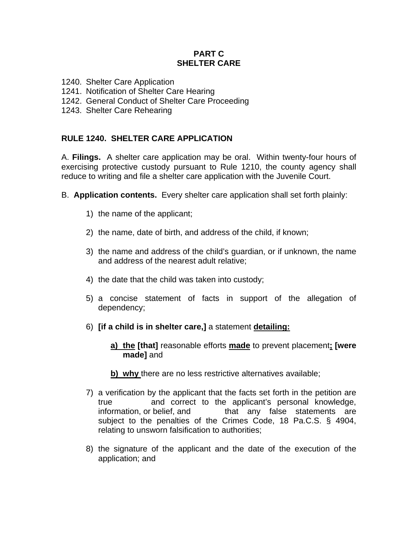## **PART C SHELTER CARE**

- 1240. Shelter Care Application
- 1241. Notification of Shelter Care Hearing
- 1242. General Conduct of Shelter Care Proceeding
- 1243. Shelter Care Rehearing

# **RULE 1240. SHELTER CARE APPLICATION**

A. **Filings.** A shelter care application may be oral. Within twenty-four hours of exercising protective custody pursuant to Rule 1210, the county agency shall reduce to writing and file a shelter care application with the Juvenile Court.

- B. **Application contents.** Every shelter care application shall set forth plainly:
	- 1) the name of the applicant;
	- 2) the name, date of birth, and address of the child, if known;
	- 3) the name and address of the child's guardian, or if unknown, the name and address of the nearest adult relative;
	- 4) the date that the child was taken into custody;
	- 5) a concise statement of facts in support of the allegation of dependency;
	- 6) **[if a child is in shelter care,]** a statement **detailing:**
		- **a) the [that]** reasonable efforts **made** to prevent placement**; [were made]** and
		- **b)** why there are no less restrictive alternatives available;
	- 7) a verification by the applicant that the facts set forth in the petition are true and correct to the applicant's personal knowledge, information, or belief, and that any false statements are subject to the penalties of the Crimes Code, 18 Pa.C.S. § 4904, relating to unsworn falsification to authorities;
	- 8) the signature of the applicant and the date of the execution of the application; and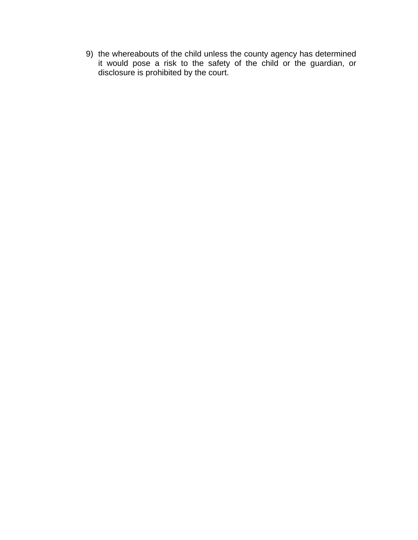9) the whereabouts of the child unless the county agency has determined it would pose a risk to the safety of the child or the guardian, or disclosure is prohibited by the court.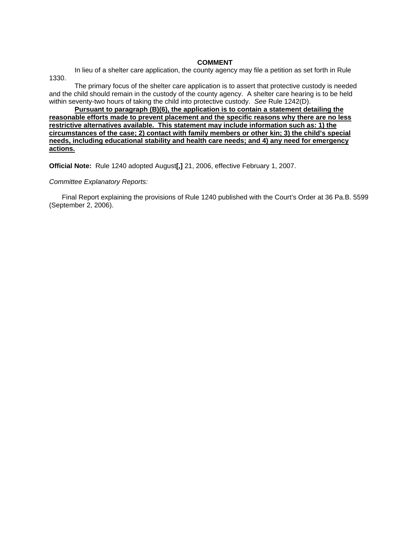#### **COMMENT**

In lieu of a shelter care application, the county agency may file a petition as set forth in Rule 1330.

The primary focus of the shelter care application is to assert that protective custody is needed and the child should remain in the custody of the county agency. A shelter care hearing is to be held within seventy-two hours of taking the child into protective custody. *See* Rule 1242(D).

**Pursuant to paragraph (B)(6), the application is to contain a statement detailing the reasonable efforts made to prevent placement and the specific reasons why there are no less restrictive alternatives available. This statement may include information such as: 1) the circumstances of the case; 2) contact with family members or other kin; 3) the child's special needs, including educational stability and health care needs; and 4) any need for emergency actions.**

**Official Note:** Rule 1240 adopted August**[,]** 21, 2006, effective February 1, 2007.

#### *Committee Explanatory Reports:*

Final Report explaining the provisions of Rule 1240 published with the Court's Order at 36 Pa.B. 5599 (September 2, 2006).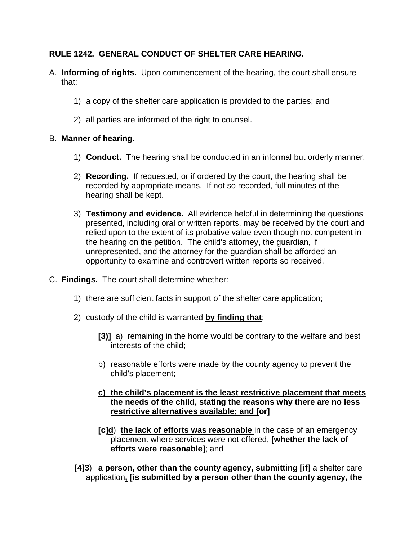# **RULE 1242. GENERAL CONDUCT OF SHELTER CARE HEARING.**

- A. **Informing of rights.** Upon commencement of the hearing, the court shall ensure that:
	- 1) a copy of the shelter care application is provided to the parties; and
	- 2) all parties are informed of the right to counsel.

## B. **Manner of hearing.**

- 1) **Conduct.** The hearing shall be conducted in an informal but orderly manner.
- 2) **Recording.** If requested, or if ordered by the court, the hearing shall be recorded by appropriate means. If not so recorded, full minutes of the hearing shall be kept.
- 3) **Testimony and evidence.** All evidence helpful in determining the questions presented, including oral or written reports, may be received by the court and relied upon to the extent of its probative value even though not competent in the hearing on the petition. The child's attorney, the guardian, if unrepresented, and the attorney for the guardian shall be afforded an opportunity to examine and controvert written reports so received.
- C. **Findings.** The court shall determine whether:
	- 1) there are sufficient facts in support of the shelter care application;
	- 2) custody of the child is warranted **by finding that**;
		- **[3)]** a) remaining in the home would be contrary to the welfare and best interests of the child;
		- b) reasonable efforts were made by the county agency to prevent the child's placement;
		- **c) the child's placement is the least restrictive placement that meets the needs of the child, stating the reasons why there are no less restrictive alternatives available; and [or]**
		- **[c]d**) **the lack of efforts was reasonable** in the case of an emergency placement where services were not offered, **[whether the lack of efforts were reasonable]**; and
	- **[4]3**) **a person, other than the county agency, submitting [if]** a shelter care application**, [is submitted by a person other than the county agency, the**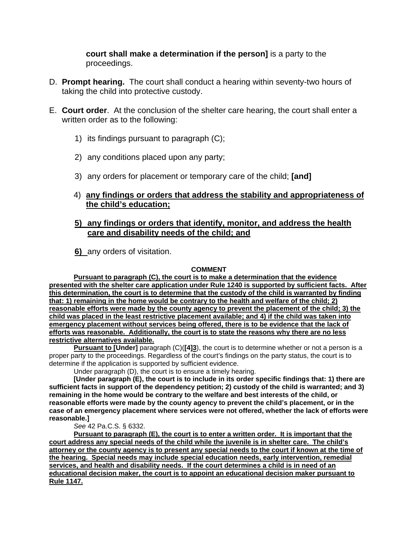**court shall make a determination if the person]** is a party to the proceedings.

- D. **Prompt hearing.** The court shall conduct a hearing within seventy-two hours of taking the child into protective custody.
- E. **Court order**. At the conclusion of the shelter care hearing, the court shall enter a written order as to the following:
	- 1) its findings pursuant to paragraph (C);
	- 2) any conditions placed upon any party;
	- 3) any orders for placement or temporary care of the child; **[and]**
	- 4) **any findings or orders that address the stability and appropriateness of the child's education;**

### **5) any findings or orders that identify, monitor, and address the health care and disability needs of the child; and**

**6)** any orders of visitation.

#### **COMMENT**

**Pursuant to paragraph (C), the court is to make a determination that the evidence presented with the shelter care application under Rule 1240 is supported by sufficient facts. After this determination, the court is to determine that the custody of the child is warranted by finding that: 1) remaining in the home would be contrary to the health and welfare of the child; 2) reasonable efforts were made by the county agency to prevent the placement of the child; 3) the child was placed in the least restrictive placement available; and 4) if the child was taken into emergency placement without services being offered, there is to be evidence that the lack of efforts was reasonable. Additionally, the court is to state the reasons why there are no less restrictive alternatives available.** 

**Pursuant to [Under]** paragraph (C)(**[4]3**), the court is to determine whether or not a person is a proper party to the proceedings. Regardless of the court's findings on the party status, the court is to determine if the application is supported by sufficient evidence.

Under paragraph (D), the court is to ensure a timely hearing.

**[Under paragraph (E), the court is to include in its order specific findings that: 1) there are sufficient facts in support of the dependency petition; 2) custody of the child is warranted; and 3) remaining in the home would be contrary to the welfare and best interests of the child, or reasonable efforts were made by the county agency to prevent the child's placement, or in the case of an emergency placement where services were not offered, whether the lack of efforts were reasonable.]** 

*See* 42 Pa.C.S. § 6332.

**Pursuant to paragraph (E), the court is to enter a written order. It is important that the court address any special needs of the child while the juvenile is in shelter care. The child's attorney or the county agency is to present any special needs to the court if known at the time of the hearing. Special needs may include special education needs, early intervention, remedial services, and health and disability needs. If the court determines a child is in need of an educational decision maker, the court is to appoint an educational decision maker pursuant to Rule 1147.**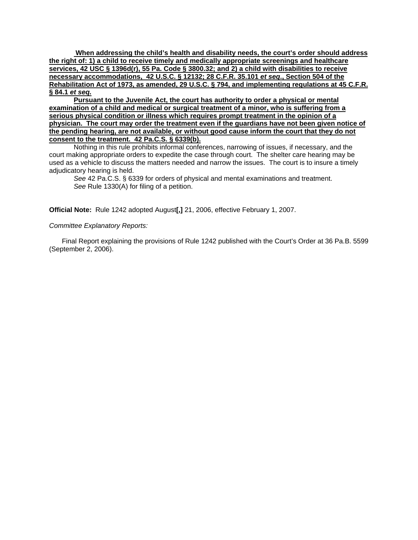**When addressing the child's health and disability needs, the court's order should address the right of: 1) a child to receive timely and medically appropriate screenings and healthcare services, 42 USC § 1396d(r), 55 Pa. Code § 3800.32; and 2) a child with disabilities to receive necessary accommodations, 42 U.S.C. § 12132; 28 C.F.R. 35.101** *et seq***., Section 504 of the Rehabilitation Act of 1973, as amended, 29 U.S.C. § 794, and implementing regulations at 45 C.F.R. § 84.1** *et seq.*

**Pursuant to the Juvenile Act, the court has authority to order a physical or mental examination of a child and medical or surgical treatment of a minor, who is suffering from a serious physical condition or illness which requires prompt treatment in the opinion of a physician. The court may order the treatment even if the guardians have not been given notice of the pending hearing, are not available, or without good cause inform the court that they do not consent to the treatment. 42 Pa.C.S. § 6339(b).**

 Nothing in this rule prohibits informal conferences, narrowing of issues, if necessary, and the court making appropriate orders to expedite the case through court. The shelter care hearing may be used as a vehicle to discuss the matters needed and narrow the issues. The court is to insure a timely adjudicatory hearing is held.

*See* 42 Pa.C.S. § 6339 for orders of physical and mental examinations and treatment. *See* Rule 1330(A) for filing of a petition.

**Official Note:** Rule 1242 adopted August**[,]** 21, 2006, effective February 1, 2007.

#### *Committee Explanatory Reports:*

Final Report explaining the provisions of Rule 1242 published with the Court's Order at 36 Pa.B. 5599 (September 2, 2006).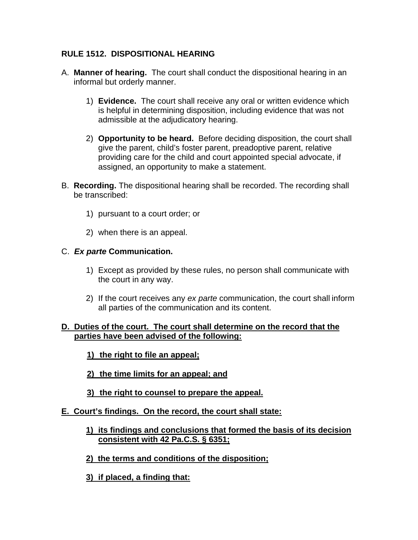# **RULE 1512. DISPOSITIONAL HEARING**

- A. **Manner of hearing.** The court shall conduct the dispositional hearing in an informal but orderly manner.
	- 1) **Evidence.** The court shall receive any oral or written evidence which is helpful in determining disposition, including evidence that was not admissible at the adjudicatory hearing.
	- 2) **Opportunity to be heard.** Before deciding disposition, the court shall give the parent, child's foster parent, preadoptive parent, relative providing care for the child and court appointed special advocate, if assigned, an opportunity to make a statement.
- B. **Recording.** The dispositional hearing shall be recorded. The recording shall be transcribed:
	- 1) pursuant to a court order; or
	- 2) when there is an appeal.

## C. *Ex parte* **Communication.**

- 1) Except as provided by these rules, no person shall communicate with the court in any way.
- 2) If the court receives any *ex parte* communication, the court shall inform all parties of the communication and its content.

## **D. Duties of the court. The court shall determine on the record that the parties have been advised of the following:**

- **1) the right to file an appeal;**
- **2) the time limits for an appeal; and**
- **3) the right to counsel to prepare the appeal.**

### **E. Court's findings. On the record, the court shall state:**

- **1) its findings and conclusions that formed the basis of its decision consistent with 42 Pa.C.S. § 6351;**
- **2) the terms and conditions of the disposition;**
- **3) if placed, a finding that:**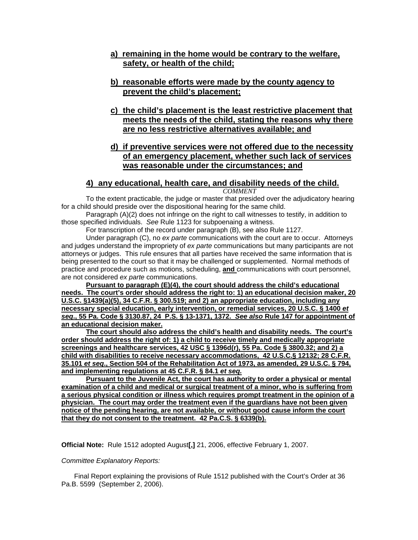#### **a) remaining in the home would be contrary to the welfare, safety, or health of the child;**

#### **b) reasonable efforts were made by the county agency to prevent the child's placement;**

**c) the child's placement is the least restrictive placement that meets the needs of the child, stating the reasons why there are no less restrictive alternatives available; and**

### **d) if preventive services were not offered due to the necessity of an emergency placement, whether such lack of services was reasonable under the circumstances; and**

# **4) any educational, health care, and disability needs of the child.**

*COMMENT* 

To the extent practicable, the judge or master that presided over the adjudicatory hearing for a child should preside over the dispositional hearing for the same child.

Paragraph (A)(2) does not infringe on the right to call witnesses to testify, in addition to those specified individuals. *See* Rule 1123 for subpoenaing a witness.

For transcription of the record under paragraph (B), see also Rule 1127.

Under paragraph (C), no *ex parte* communications with the court are to occur. Attorneys and judges understand the impropriety of *ex parte* communications but many participants are not attorneys or judges. This rule ensures that all parties have received the same information that is being presented to the court so that it may be challenged or supplemented. Normal methods of practice and procedure such as motions, scheduling, **and** communications with court personnel, are not considered *ex parte* communications.

**Pursuant to paragraph (E)(4), the court should address the child's educational needs. The court's order should address the right to: 1) an educational decision maker, 20 U.S.C. §1439(a)(5), 34 C.F.R. § 300.519; and 2) an appropriate education, including any necessary special education, early intervention, or remedial services, 20 U.S.C. § 1400** *et seq***., 55 Pa. Code § 3130.87, 24 P.S. § 13-1371, 1372.** *See also* **Rule 147 for appointment of an educational decision maker.**

**The court should also address the child's health and disability needs. The court's order should address the right of: 1) a child to receive timely and medically appropriate screenings and healthcare services, 42 USC § 1396d(r), 55 Pa. Code § 3800.32; and 2) a child with disabilities to receive necessary accommodations, 42 U.S.C.§ 12132; 28 C.F.R. 35.101** *et seq***., Section 504 of the Rehabilitation Act of 1973, as amended, 29 U.S.C. § 794, and implementing regulations at 45 C.F.R. § 84.1** *et seq.*

**Pursuant to the Juvenile Act, the court has authority to order a physical or mental examination of a child and medical or surgical treatment of a minor, who is suffering from a serious physical condition or illness which requires prompt treatment in the opinion of a physician. The court may order the treatment even if the guardians have not been given notice of the pending hearing, are not available, or without good cause inform the court that they do not consent to the treatment. 42 Pa.C.S. § 6339(b).**

**Official Note:** Rule 1512 adopted August**[,]** 21, 2006, effective February 1, 2007.

#### *Committee Explanatory Reports:*

Final Report explaining the provisions of Rule 1512 published with the Court's Order at 36 Pa.B. 5599 (September 2, 2006).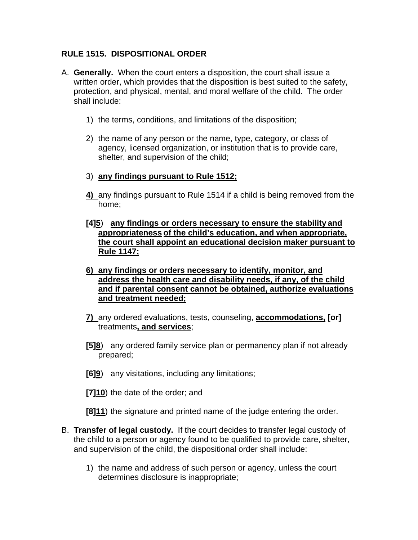# **RULE 1515. DISPOSITIONAL ORDER**

- A. **Generally.** When the court enters a disposition, the court shall issue a written order, which provides that the disposition is best suited to the safety, protection, and physical, mental, and moral welfare of the child. The order shall include:
	- 1) the terms, conditions, and limitations of the disposition;
	- 2) the name of any person or the name, type, category, or class of agency, licensed organization, or institution that is to provide care, shelter, and supervision of the child;
	- 3) **any findings pursuant to Rule 1512;**
	- **4)** any findings pursuant to Rule 1514 if a child is being removed from the home;
	- **[4]5**) **any findings or orders necessary to ensure the stability and appropriateness of the child's education, and when appropriate, the court shall appoint an educational decision maker pursuant to Rule 1147;**
	- **6) any findings or orders necessary to identify, monitor, and address the health care and disability needs, if any, of the child and if parental consent cannot be obtained, authorize evaluations and treatment needed;**
	- **7)** any ordered evaluations, tests, counseling, **accommodations, [or]** treatments**, and services**;
	- **[5]8**) any ordered family service plan or permanency plan if not already prepared;
	- **[6]9**) any visitations, including any limitations;
	- **[7]10**) the date of the order; and
	- **[8]11**) the signature and printed name of the judge entering the order.
- B. **Transfer of legal custody.** If the court decides to transfer legal custody of the child to a person or agency found to be qualified to provide care, shelter, and supervision of the child, the dispositional order shall include:
	- 1) the name and address of such person or agency, unless the court determines disclosure is inappropriate;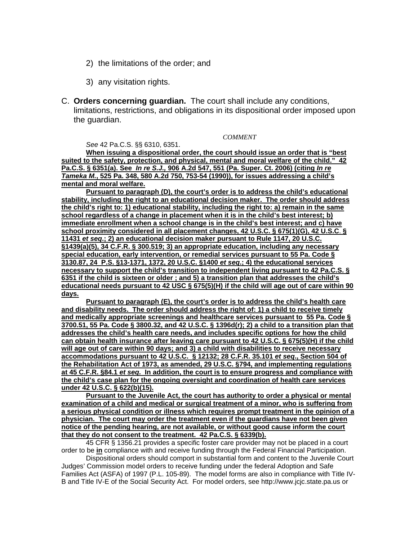- 2) the limitations of the order; and
- 3) any visitation rights.
- C. **Orders concerning guardian.** The court shall include any conditions, limitations, restrictions, and obligations in its dispositional order imposed upon the guardian.

*COMMENT* 

*See* 42 Pa.C.S. §§ 6310, 6351.

**When issuing a dispositional order, the court should issue an order that is "best suited to the safety, protection, and physical, mental and moral welfare of the child." 42 Pa.C.S. § 6351(a). See** *In re S.J.,* **906 A.2d 547, 551 (Pa. Super. Ct. 2006) (citing** *In re Tameka M.***, 525 Pa. 348, 580 A.2d 750, 753-54 (1990)), for issues addressing a child's mental and moral welfare.**

**Pursuant to paragraph (D), the court's order is to address the child's educational stability, including the right to an educational decision maker. The order should address the child's right to: 1) educational stability, including the right to: a) remain in the same school regardless of a change in placement when it is in the child's best interest; b) immediate enrollment when a school change is in the child's best interest; and c) have school proximity considered in all placement changes, 42 U.S.C. § 675(1)(G), 42 U.S.C**. **§ 11431** *et seq***.; 2) an educational decision maker pursuant to Rule 1147, 20 U.S.C. §1439(a)(5), 34 C.F.R. § 300.519; 3) an appropriate education, including any necessary special education, early intervention, or remedial services pursuant to 55 Pa. Code § 3130.87, 24 P.S. §13-1371, 1372, 20 U.S.C. §1400** *et seq***.; 4) the educational services necessary to support the child's transition to independent living pursuant to 42 Pa.C.S. § 6351 if the child is sixteen or older ; and 5) a transition plan that addresses the child's educational needs pursuant to 42 USC § 675(5)(H) if the child will age out of care within 90 days.** 

**Pursuant to paragraph (E), the court's order is to address the child's health care and disability needs. The order should address the right of: 1) a child to receive timely and medically appropriate screenings and healthcare services pursuant to 55 Pa. Code § 3700.51, 55 Pa. Code § 3800.32, and 42 U.S.C. § 1396d(r); 2) a child to a transition plan that addresses the child's health care needs, and includes specific options for how the child can obtain health insurance after leaving care pursuant to 42 U.S.C. § 675(5)(H) if the child will age out of care within 90 days; and 3) a child with disabilities to receive necessary accommodations pursuant to 42 U.S.C. § 12132; 28 C.F.R. 35.101** *et seq***., Section 504 of the Rehabilitation Act of 1973, as amended, 29 U.S.C. §794, and implementing regulations at 45 C.F.R. §84.1** *et seq.* **In addition, the court is to ensure progress and compliance with the child's case plan for the ongoing oversight and coordination of health care services under 42 U.S.C. § 622(b)(15).**

**Pursuant to the Juvenile Act, the court has authority to order a physical or mental examination of a child and medical or surgical treatment of a minor, who is suffering from a serious physical condition or illness which requires prompt treatment in the opinion of a physician. The court may order the treatment even if the guardians have not been given notice of the pending hearing, are not available, or without good cause inform the court that they do not consent to the treatment. 42 Pa.C.S. § 6339(b).**

45 CFR § 1356.21 provides a specific foster care provider may not be placed in a court order to be **in** compliance with and receive funding through the Federal Financial Participation.

Dispositional orders should comport in substantial form and content to the Juvenile Court Judges' Commission model orders to receive funding under the federal Adoption and Safe Families Act (ASFA) of 1997 (P.L. 105-89). The model forms are also in compliance with Title IV-B and Title IV-E of the Social Security Act. For model orders, see http://www.jcjc.state.pa.us or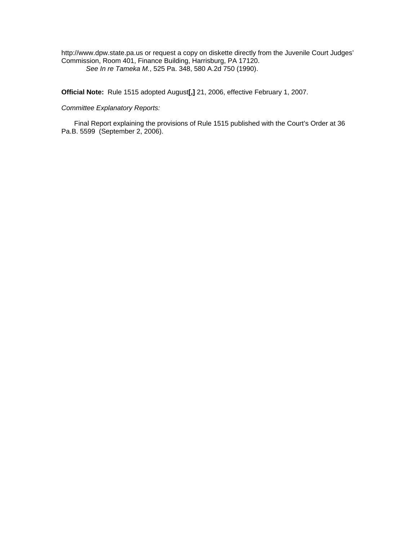http://www.dpw.state.pa.us or request a copy on diskette directly from the Juvenile Court Judges' Commission, Room 401, Finance Building, Harrisburg, PA 17120. *See In re Tameka M.*, 525 Pa. 348, 580 A.2d 750 (1990).

**Official Note:** Rule 1515 adopted August**[,]** 21, 2006, effective February 1, 2007.

#### *Committee Explanatory Reports:*

Final Report explaining the provisions of Rule 1515 published with the Court's Order at 36 Pa.B. 5599 (September 2, 2006).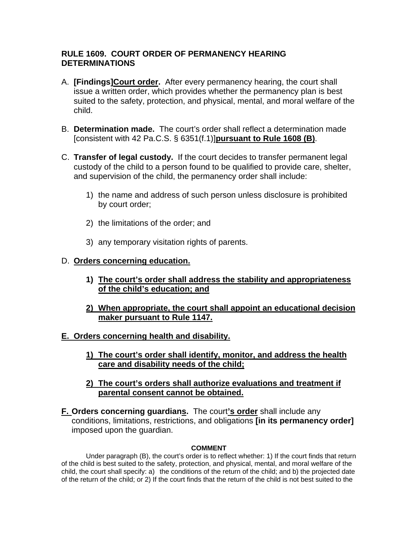## **RULE 1609. COURT ORDER OF PERMANENCY HEARING DETERMINATIONS**

- A. **[Findings]Court order.** After every permanency hearing, the court shall issue a written order, which provides whether the permanency plan is best suited to the safety, protection, and physical, mental, and moral welfare of the child.
- B. **Determination made.** The court's order shall reflect a determination made [consistent with 42 Pa.C.S. § 6351(f.1)]**pursuant to Rule 1608 (B)**.
- C. **Transfer of legal custody.** If the court decides to transfer permanent legal custody of the child to a person found to be qualified to provide care, shelter, and supervision of the child, the permanency order shall include:
	- 1) the name and address of such person unless disclosure is prohibited by court order;
	- 2) the limitations of the order; and
	- 3) any temporary visitation rights of parents.

### D. **Orders concerning education.**

- **1) The court's order shall address the stability and appropriateness of the child's education; and**
- **2) When appropriate, the court shall appoint an educational decision maker pursuant to Rule 1147.**
- **E. Orders concerning health and disability.** 
	- **1) The court's order shall identify, monitor, and address the health care and disability needs of the child;**
	- **2) The court's orders shall authorize evaluations and treatment if parental consent cannot be obtained.**
- **F. Orders concerning guardians.** The court**'s order** shall include any conditions, limitations, restrictions, and obligations **[in its permanency order]** imposed upon the guardian.

#### **COMMENT**

 Under paragraph (B), the court's order is to reflect whether: 1) If the court finds that return of the child is best suited to the safety, protection, and physical, mental, and moral welfare of the child, the court shall specify: a) the conditions of the return of the child; and b) the projected date of the return of the child; or 2) If the court finds that the return of the child is not best suited to the